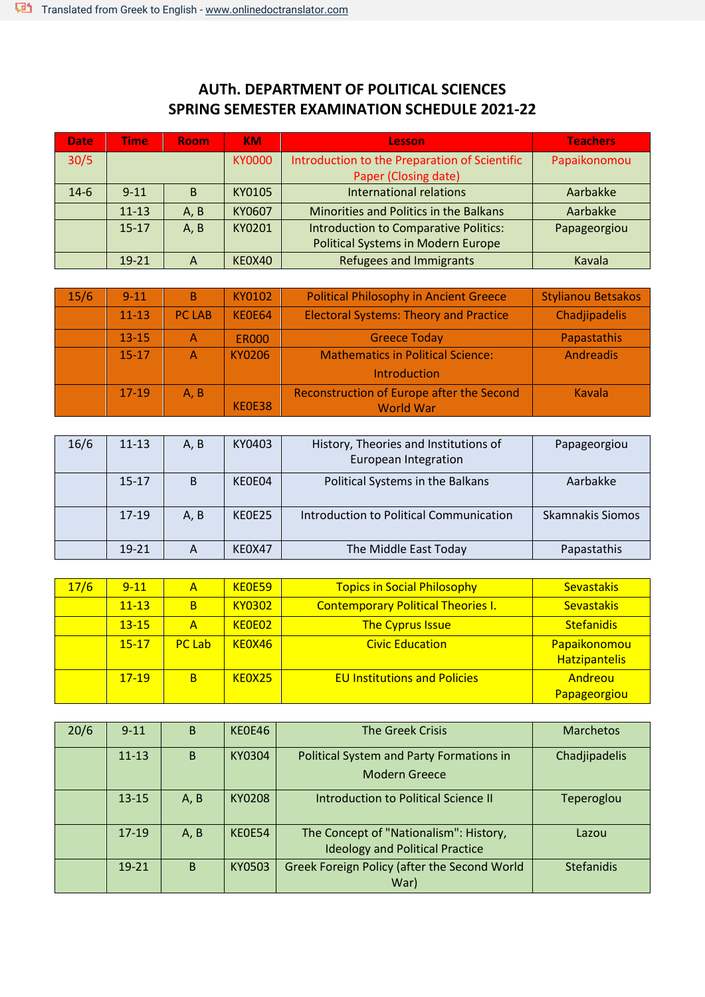## **AUTh. DEPARTMENT OF POLITICAL SCIENCES SPRING SEMESTER EXAMINATION SCHEDULE 2021-22**

| <b>Date</b> | Time      | <b>Room</b> | <b>KM</b>     | <b>Lesson</b>                                                         | <b>Teachers</b> |
|-------------|-----------|-------------|---------------|-----------------------------------------------------------------------|-----------------|
| 30/5        |           |             | <b>KY0000</b> | Introduction to the Preparation of Scientific<br>Paper (Closing date) | Papaikonomou    |
|             |           |             |               |                                                                       |                 |
| $14-6$      | $9 - 11$  | B           | KY0105        | <b>International relations</b>                                        | Aarbakke        |
|             | $11 - 13$ | A, B        | KY0607        | Minorities and Politics in the Balkans                                | Aarbakke        |
|             | $15 - 17$ | A, B        | KY0201        | <b>Introduction to Comparative Politics:</b>                          | Papageorgiou    |
|             |           |             |               | <b>Political Systems in Modern Europe</b>                             |                 |
|             | $19 - 21$ | A           | KE0X40        | <b>Refugees and Immigrants</b>                                        | Kavala          |

| 15/6 | $9 - 11$  | B             | KY0102       | <b>Political Philosophy in Ancient Greece</b> | <b>Stylianou Betsakos</b> |
|------|-----------|---------------|--------------|-----------------------------------------------|---------------------------|
|      | $11 - 13$ | <b>PC LAB</b> | KE0E64       | <b>Electoral Systems: Theory and Practice</b> | Chadjipadelis             |
|      | $13 - 15$ | Α             | <b>ER000</b> | <b>Greece Today</b>                           | Papastathis               |
|      | $15 - 17$ | Α             | KY0206       | <b>Mathematics in Political Science:</b>      | Andreadis                 |
|      |           |               |              | Introduction                                  |                           |
|      | $17-19$   | A, B          |              | Reconstruction of Europe after the Second     | Kavala                    |
|      |           |               | KEOE38       | <b>World War</b>                              |                           |

| 16/6 | $11 - 13$ | A, B | KY0403 | History, Theories and Institutions of<br>European Integration | Papageorgiou            |
|------|-----------|------|--------|---------------------------------------------------------------|-------------------------|
|      | $15-17$   | B    | KEOE04 | Political Systems in the Balkans                              | Aarbakke                |
|      | $17-19$   | A, B | KEOE25 | Introduction to Political Communication                       | <b>Skamnakis Siomos</b> |
|      | $19 - 21$ | A    | KE0X47 | The Middle East Today                                         | Papastathis             |

| 17/6 | $9 - 11$  | А             | KE0E59        | <b>Topics in Social Philosophy</b>        | <b>Sevastakis</b>                    |
|------|-----------|---------------|---------------|-------------------------------------------|--------------------------------------|
|      | $11 - 13$ | B             | <b>KY0302</b> | <b>Contemporary Political Theories I.</b> | <b>Sevastakis</b>                    |
|      | $13 - 15$ | Α             | KE0E02        | <b>The Cyprus Issue</b>                   | <b>Stefanidis</b>                    |
|      | $15 - 17$ | <b>PC Lab</b> | KE0X46        | <b>Civic Education</b>                    | Papaikonomou<br><b>Hatzipantelis</b> |
|      | $17-19$   | B             | KE0X25        | <b>EU Institutions and Policies</b>       | Andreou<br>Papageorgiou              |

| 20/6 | $9 - 11$  | <sub>B</sub> | KE0E46        | <b>The Greek Crisis</b>                                                          | <b>Marchetos</b>  |
|------|-----------|--------------|---------------|----------------------------------------------------------------------------------|-------------------|
|      | $11 - 13$ | B            | KY0304        | Political System and Party Formations in<br><b>Modern Greece</b>                 | Chadjipadelis     |
|      | $13 - 15$ | A, B         | <b>KY0208</b> | Introduction to Political Science II                                             | Teperoglou        |
|      | 17-19     | A, B         | KEOE54        | The Concept of "Nationalism": History,<br><b>Ideology and Political Practice</b> | Lazou             |
|      | $19 - 21$ | B            | KY0503        | Greek Foreign Policy (after the Second World<br>War)                             | <b>Stefanidis</b> |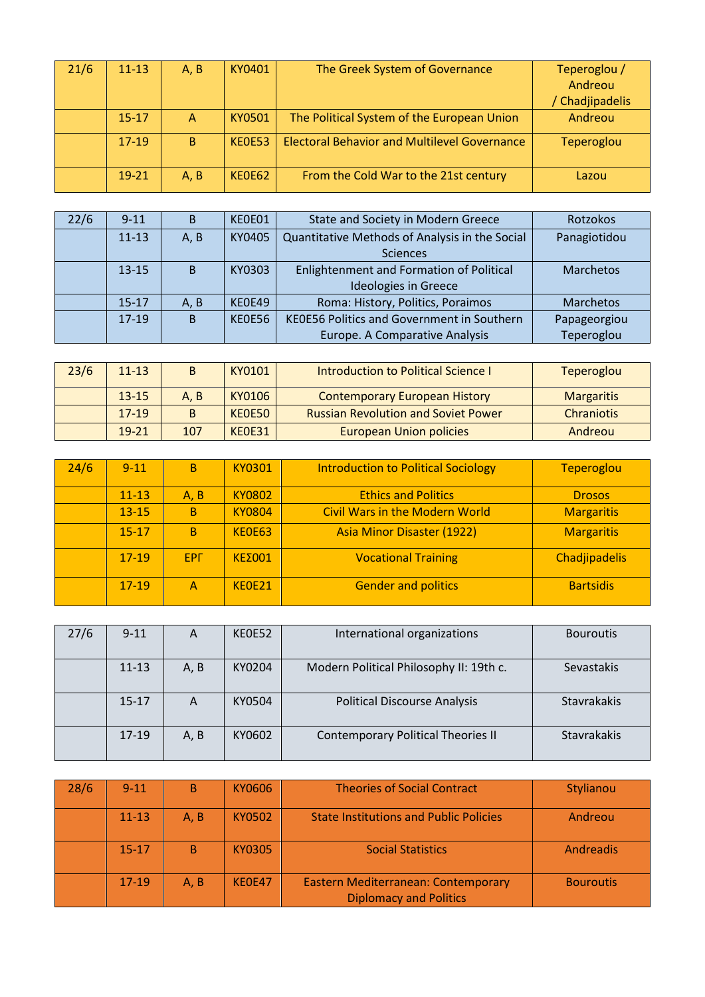| 21/6 | $11 - 13$ | A. B         | KY0401        | The Greek System of Governance                      | Teperoglou /    |
|------|-----------|--------------|---------------|-----------------------------------------------------|-----------------|
|      |           |              |               |                                                     | Andreou         |
|      |           |              |               |                                                     | / Chadjipadelis |
|      | $15 - 17$ | $\Lambda$    | KY0501        | The Political System of the European Union          | Andreou         |
|      | $17 - 19$ | <sub>B</sub> | <b>KF0F53</b> | <b>Electoral Behavior and Multilevel Governance</b> | Teperoglou      |
|      | $19 - 21$ | A, B         | KEOE62        | From the Cold War to the 21st century               | Lazou           |

| 22/6 | $9 - 11$  | B            | KE0E01 | State and Society in Modern Greece              | Rotzokos         |
|------|-----------|--------------|--------|-------------------------------------------------|------------------|
|      | $11 - 13$ | A, B         | KY0405 | Quantitative Methods of Analysis in the Social  | Panagiotidou     |
|      |           |              |        | <b>Sciences</b>                                 |                  |
|      | $13 - 15$ | <sub>B</sub> | KY0303 | <b>Enlightenment and Formation of Political</b> | <b>Marchetos</b> |
|      |           |              |        | <b>Ideologies in Greece</b>                     |                  |
|      | $15 - 17$ | A, B         | KE0E49 | Roma: History, Politics, Poraimos               | <b>Marchetos</b> |
|      | $17-19$   | <sub>B</sub> | KE0E56 | KE0E56 Politics and Government in Southern      | Papageorgiou     |
|      |           |              |        | Europe. A Comparative Analysis                  | Teperoglou       |

| 23/6 | $11 - 13$ |      | KY0101 | <b>Introduction to Political Science I</b> | Teperoglou        |
|------|-----------|------|--------|--------------------------------------------|-------------------|
|      | $13 - 15$ | A. B | KY0106 | <b>Contemporary European History</b>       | <b>Margaritis</b> |
|      | $17-19$   | B    | KEOE50 | <b>Russian Revolution and Soviet Power</b> | Chraniotis        |
|      | $19 - 21$ | 107  | KEOE31 | <b>European Union policies</b>             | Andreou           |

| 24/6 | $9 - 11$  | B          | <b>KY0301</b> | <b>Introduction to Political Sociology</b> | <b>Teperoglou</b> |
|------|-----------|------------|---------------|--------------------------------------------|-------------------|
|      | $11 - 13$ | A, B       | <b>KY0802</b> | <b>Ethics and Politics</b>                 | <b>Drosos</b>     |
|      | $13 - 15$ | B          | <b>KY0804</b> | <b>Civil Wars in the Modern World</b>      | <b>Margaritis</b> |
|      | $15 - 17$ | B          | KE0E63        | <b>Asia Minor Disaster (1922)</b>          | <b>Margaritis</b> |
|      | $17-19$   | <b>EPF</b> | KE2001        | <b>Vocational Training</b>                 | Chadjipadelis     |
|      | $17-19$   | Α          | KF0F21        | <b>Gender and politics</b>                 | <b>Bartsidis</b>  |

| 27/6 | $9 - 11$  | А    | KEOE52 | International organizations               | <b>Bouroutis</b> |
|------|-----------|------|--------|-------------------------------------------|------------------|
|      | $11 - 13$ | A, B | KY0204 | Modern Political Philosophy II: 19th c.   | Sevastakis       |
|      | $15 - 17$ | A    | KY0504 | <b>Political Discourse Analysis</b>       | Stavrakakis      |
|      | $17-19$   | A, B | KY0602 | <b>Contemporary Political Theories II</b> | Stavrakakis      |

| 28/6 | $9 - 11$  | B    | KY0606 | <b>Theories of Social Contract</b>                                   | Stylianou        |
|------|-----------|------|--------|----------------------------------------------------------------------|------------------|
|      | $11 - 13$ | A. B | KY0502 | <b>State Institutions and Public Policies</b>                        | Andreou          |
|      | $15 - 17$ | B    | KY0305 | <b>Social Statistics</b>                                             | Andreadis        |
|      | $17-19$   | A. B | KE0E47 | Eastern Mediterranean: Contemporary<br><b>Diplomacy and Politics</b> | <b>Bouroutis</b> |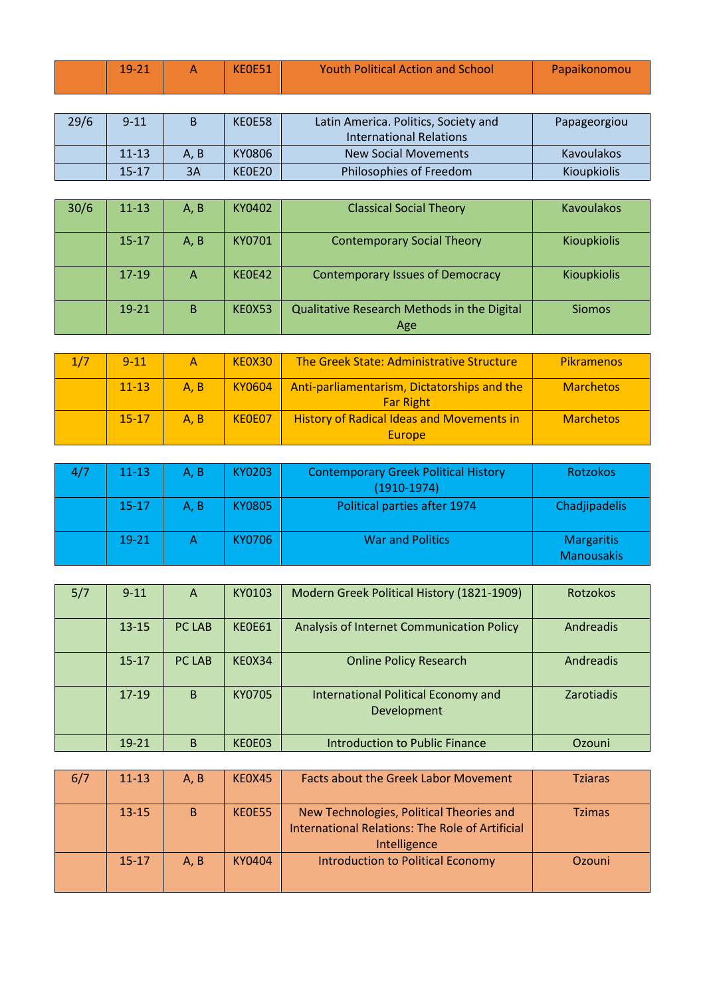| $-10$ | KEOE51 | <b>Youth Political Action and School</b> | Papaikonomou |
|-------|--------|------------------------------------------|--------------|
|       |        |                                          |              |

| 29/6 | $9 - 11$  |     | KEOE58 | Latin America. Politics, Society and | Papageorgiou       |
|------|-----------|-----|--------|--------------------------------------|--------------------|
|      |           |     |        | International Relations              |                    |
|      | $11 - 13$ | A.B | KY0806 | <b>New Social Movements</b>          | <b>Kavoulakos</b>  |
|      | $15 - 17$ | 3A  | KE0E20 | Philosophies of Freedom              | <b>Kioupkiolis</b> |

| 30/6 | $11 - 13$ | A, B | KY0402 | <b>Classical Social Theory</b>                     | <b>Kavoulakos</b>  |
|------|-----------|------|--------|----------------------------------------------------|--------------------|
|      | $15 - 17$ | A, B | KY0701 | <b>Contemporary Social Theory</b>                  | <b>Kioupkiolis</b> |
|      | $17-19$   | A    | KEOE42 | <b>Contemporary Issues of Democracy</b>            | <b>Kioupkiolis</b> |
|      | $19 - 21$ | B    | KEOX53 | Qualitative Research Methods in the Digital<br>Age | <b>Siomos</b>      |

| 1/7 | $9 - 11$  | A    | KE0X30 | The Greek State: Administrative Structure                       | <b>Pikramenos</b> |
|-----|-----------|------|--------|-----------------------------------------------------------------|-------------------|
|     | $11 - 13$ | A. B | KY0604 | Anti-parliamentarism, Dictatorships and the<br><b>Far Right</b> | <b>Marchetos</b>  |
|     | $15 - 17$ | A, B | KE0E07 | <b>History of Radical Ideas and Movements in</b><br>Europe      | <b>Marchetos</b>  |

| $11 - 13$ | A, B | KY0203 | <b>Contemporary Greek Political History</b><br>$(1910-1974)$ | <b>Rotzokos</b>                        |
|-----------|------|--------|--------------------------------------------------------------|----------------------------------------|
| $15 - 17$ | A, B | KY0805 | Political parties after 1974                                 | Chadjipadelis                          |
| $19 - 21$ |      | KY0706 | <b>War and Politics</b>                                      | <b>Margaritis</b><br><b>Manousakis</b> |

| 5/7 | $9 - 11$  | A             | KY0103        | Modern Greek Political History (1821-1909)         | <b>Rotzokos</b>   |
|-----|-----------|---------------|---------------|----------------------------------------------------|-------------------|
|     | $13 - 15$ | PC LAB        | <b>KEOE61</b> | Analysis of Internet Communication Policy          | Andreadis         |
|     | $15 - 17$ | <b>PC LAB</b> | KE0X34        | <b>Online Policy Research</b>                      | Andreadis         |
|     | $17-19$   | B             | KY0705        | International Political Economy and<br>Development | <b>Zarotiadis</b> |
|     | 19-21     | B             | KE0E03        | <b>Introduction to Public Finance</b>              | Ozouni            |

| 6/7 | $11 - 13$ | A.B | KEOX45 | <b>Facts about the Greek Labor Movement</b>                                                                        | <b>Tziaras</b> |
|-----|-----------|-----|--------|--------------------------------------------------------------------------------------------------------------------|----------------|
|     | $13 - 15$ | B   | KEOE55 | New Technologies, Political Theories and<br><b>International Relations: The Role of Artificial</b><br>Intelligence | <b>Tzimas</b>  |
|     | $15 - 17$ | A.B | KY0404 | Introduction to Political Economy                                                                                  | Ozouni         |